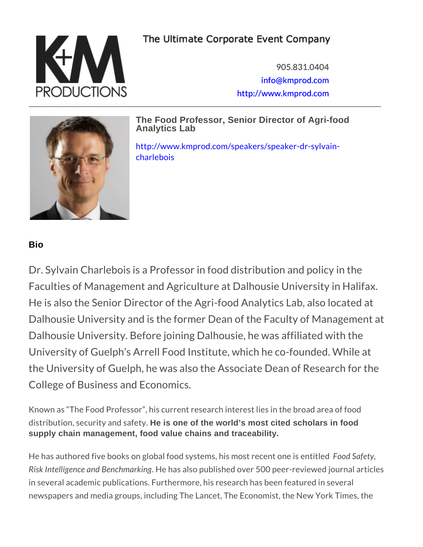905.831.0404 [info@kmpro](mailto:info@kmprod.com)d.com [http://www.kmp](http://www.kmprod.com)rod.com

The Food Professor, Senior Director of Agri-food Analytics Lab

[http://www.kmprod.com/speakers/](http://www.kmprod.com/speakers/speaker-dr-sylvain-charlebois)speaker-dr-sy [charle](http://www.kmprod.com/speakers/speaker-dr-sylvain-charlebois)bois

Bio

Dr. Sylvain Charlebois is a Professor in food distribution Faculties of Management and Agriculture at Dalhous He is also the Senior Director of the Agri-food Anal Dalhousie University and is the former Dean of the Dalhousie University. Before joining Dalhousie, he University of Guelph s Arrell Food Institute, which the University of Guelph, he was also the Associate College of Business and Economics.

Known as The Food Professor, his current research interest lie distribution, securithe issonde of the feator of's most cited scholars in food supply chain management, food value chains and traceability.

He has authored five books on global food system  $5$  o od is Sma besty red Risk Intelligence and Benhamarktongublished over 500 peer-revie in several academic publications. Furthermore, his research has newspapers and media groups, including The Lancet, The Econor